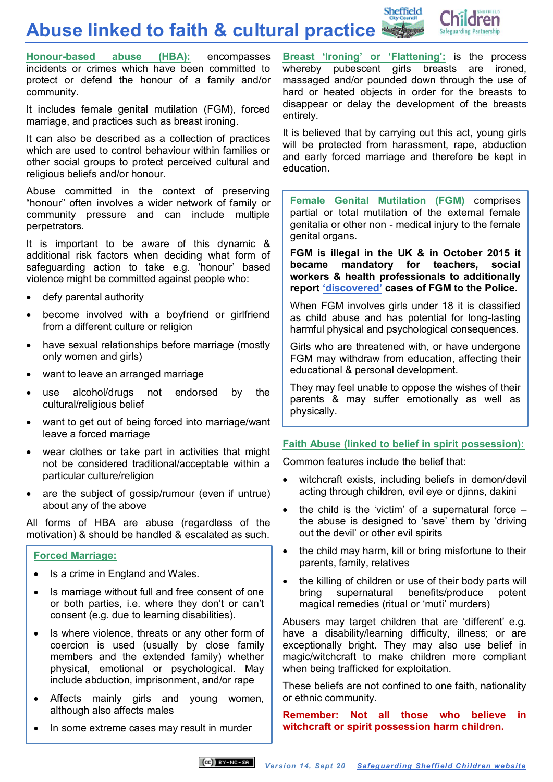**Abuse linked to faith & cultural practice**



**Honour-based [abuse \(HBA\):](https://sheffieldscb.proceduresonline.com/p_honour.html)** encompasses incidents or crimes which have been committed to protect or defend the honour of a family and/or community.

It includes female genital mutilation (FGM), forced marriage, and practices such as breast ironing.

It can also be described as a collection of practices which are used to control behaviour within families or other social groups to protect perceived cultural and religious beliefs and/or honour.

Abuse committed in the context of preserving "honour" often involves a wider network of family or community pressure and can include multiple perpetrators.

It is important to be aware of this dynamic & additional risk factors when deciding what form of safeguarding action to take e.g. 'honour' based violence might be committed against people who:

- defy parental authority
- become involved with a boyfriend or girlfriend from a different culture or religion
- have sexual relationships before marriage (mostly only women and girls)
- want to leave an arranged marriage
- use alcohol/drugs not endorsed by the cultural/religious belief
- want to get out of being forced into marriage/want leave a forced marriage
- wear clothes or take part in activities that might not be considered traditional/acceptable within a particular culture/religion
- are the subject of gossip/rumour (even if untrue) about any of the above

All forms of HBA are abuse (regardless of the motivation) & should be handled & escalated as such.

## **[Forced Marriage:](https://sheffieldscb.proceduresonline.com/p_forced.html)**

- Is a crime in England and Wales.
- Is marriage without full and free consent of one or both parties, i.e. where they don't or can't consent (e.g. due to learning disabilities).
- Is where violence, threats or any other form of coercion is used (usually by close family members and the extended family) whether physical, emotional or psychological. May include abduction, imprisonment, and/or rape
- Affects mainly girls and young women, although also affects males
- In some extreme cases may result in murder

**[Breast 'Ironing' or 'Flattening'](https://sheffieldscb.proceduresonline.com/p_breast_iron.html):** is the process whereby pubescent girls breasts are ironed, massaged and/or pounded down through the use of hard or heated objects in order for the breasts to disappear or delay the development of the breasts entirely.

Sheffield

It is believed that by carrying out this act, young girls will be protected from harassment, rape, abduction and early forced marriage and therefore be kept in education.

**[Female Genital Mutilation \(FGM\)](https://sheffieldscb.proceduresonline.com/p_female_gen.html)** comprises partial or total mutilation of the external female genitalia or other non - medical injury to the female genital organs.

**FGM is illegal in the UK & in October 2015 it became mandatory for teachers, social workers & health professionals to additionally report ['discovered'](https://www.gov.uk/government/publications/mandatory-reporting-of-female-genital-mutilation-procedural-information) cases of FGM to the Police.** 

When FGM involves girls under 18 it is classified as child abuse and has potential for long-lasting harmful physical and psychological consequences.

Girls who are threatened with, or have undergone FGM may withdraw from education, affecting their educational & personal development.

They may feel unable to oppose the wishes of their parents & may suffer emotionally as well as physically.

## **[Faith Abuse \(linked to belief in spirit possession\):](https://sheffieldscb.proceduresonline.com/p_spirit.html)**

Common features include the belief that:

- witchcraft exists, including beliefs in demon/devil acting through children, evil eye or djinns, dakini
- the child is the 'victim' of a supernatural force  $$ the abuse is designed to 'save' them by 'driving out the devil' or other evil spirits
- the child may harm, kill or bring misfortune to their parents, family, relatives
- the killing of children or use of their body parts will bring supernatural benefits/produce potent magical remedies (ritual or 'muti' murders)

Abusers may target children that are 'different' e.g. have a disability/learning difficulty, illness; or are exceptionally bright. They may also use belief in magic/witchcraft to make children more compliant when being trafficked for exploitation.

These beliefs are not confined to one faith, nationality or ethnic community.

**Remember: Not all those who believe in witchcraft or spirit possession harm children.**